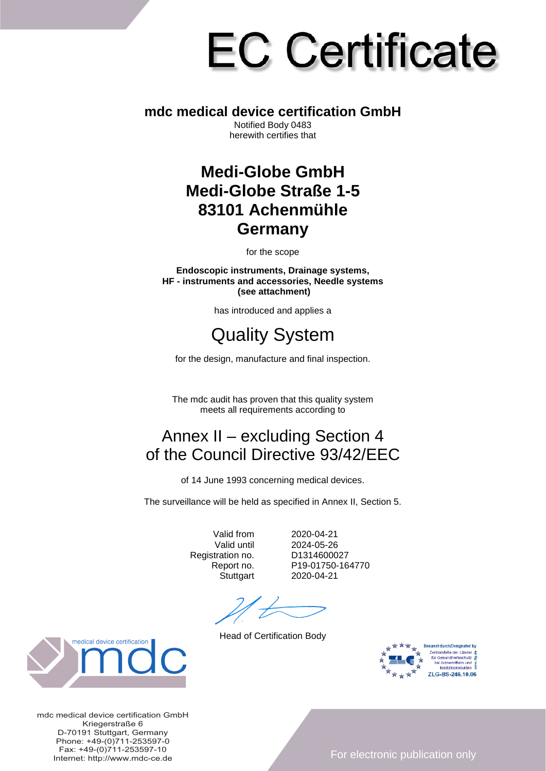# **EC Certificate**

#### **mdc medical device certification GmbH**

Notified Body 0483 herewith certifies that

#### **Medi-Globe GmbH Medi-Globe Straße 1-5 83101 Achenmühle Germany**

for the scope

**Endoscopic instruments, Drainage systems, HF - instruments and accessories, Needle systems (see attachment)**

has introduced and applies a

## Quality System

for the design, manufacture and final inspection.

The mdc audit has proven that this quality system meets all requirements according to

### Annex II – excluding Section 4 of the Council Directive 93/42/EEC

of 14 June 1993 concerning medical devices.

The surveillance will be held as specified in Annex II, Section 5.

Registration no.<br>Report no.

Valid from 2020-04-21<br>Valid until 2024-05-26 2024-05-26<br>D1314600027 P19-01750-164770 Stuttgart 2020-04-21

Head of Certification Body





mdc medical device certification GmbH Kriegerstraße 6 D-70191 Stuttgart, Germany Phone: +49-(0)711-253597-0 Fax: +49-(0)711-253597-10 Internet: http://www.mdc-ce.de

For electronic publication only